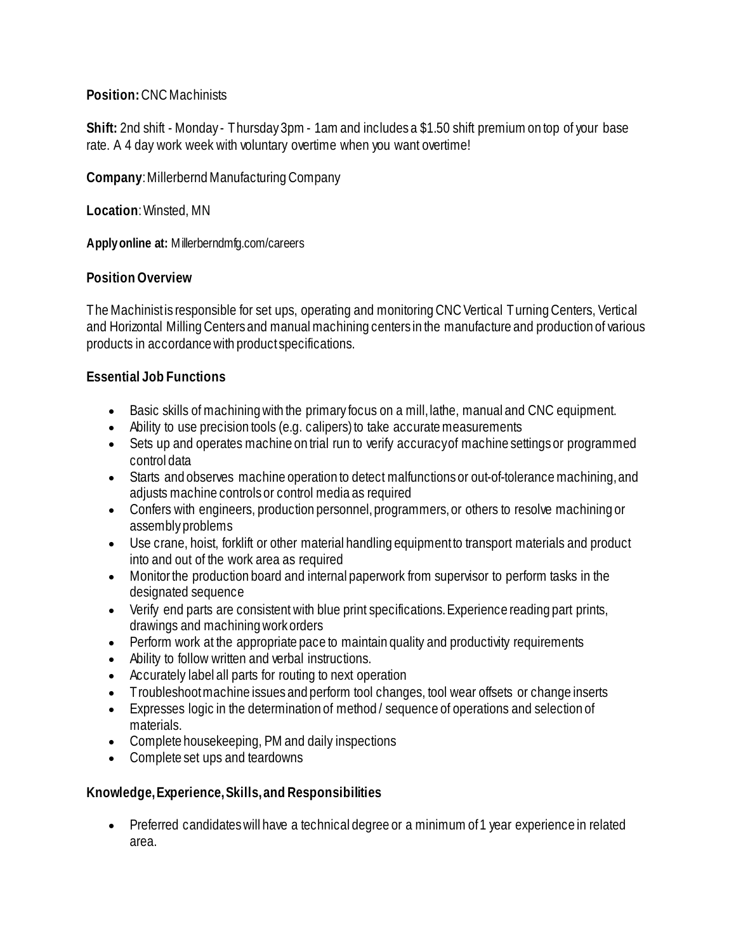## **Position:** CNC Machinists

**Shift:** 2nd shift - Monday - Thursday 3pm - 1am and includes a \$1.50 shift premium on top of your base rate. A 4 day work week with voluntary overtime when you want overtime!

**Company**: Millerbernd Manufacturing Company

**Location**: Winsted, MN

**Apply online at:** Millerberndmfg.com/careers

# **Position Overview**

The Machinist is responsible for set ups, operating and monitoring CNC Vertical Turning Centers, Vertical and Horizontal Milling Centers and manual machining centers in the manufacture and production of various products in accordance with product specifications.

## **Essential Job Functions**

- Basic skills of machining with the primary focus on a mill, lathe, manual and CNC equipment.
- Ability to use precision tools (e.g. calipers) to take accurate measurements
- Sets up and operates machine on trial run to verify accuracy of machine settings or programmed control data
- Starts and observes machine operation to detect malfunctions or out-of-tolerance machining, and adjusts machine controls or control media as required
- Confers with engineers, production personnel, programmers, or others to resolve machining or assembly problems
- Use crane, hoist, forklift or other material handling equipment to transport materials and product into and out of the work area as required
- Monitor the production board and internal paperwork from supervisor to perform tasks in the designated sequence
- Verify end parts are consistent with blue print specifications. Experience reading part prints, drawings and machining work orders
- Perform work at the appropriate pace to maintain quality and productivity requirements
- Ability to follow written and verbal instructions.
- Accurately label all parts for routing to next operation
- Troubleshoot machine issues and perform tool changes, tool wear offsets or change inserts
- Expresses logic in the determination of method / sequence of operations and selection of materials.
- Complete housekeeping, PM and daily inspections
- Complete set ups and teardowns

# **Knowledge, Experience, Skills, and Responsibilities**

• Preferred candidates will have a technical degree or a minimum of 1 year experience in related area.